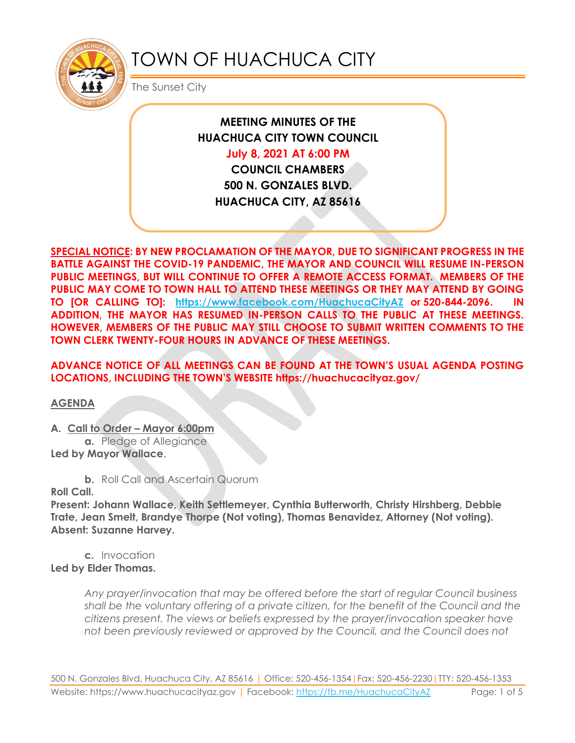

# TOWN OF HUACHUCA CITY

The Sunset City

**MEETING MINUTES OF THE HUACHUCA CITY TOWN COUNCIL July 8, 2021 AT 6:00 PM**

**COUNCIL CHAMBERS 500 N. GONZALES BLVD. HUACHUCA CITY, AZ 85616**

**SPECIAL NOTICE: BY NEW PROCLAMATION OF THE MAYOR, DUE TO SIGNIFICANT PROGRESS IN THE BATTLE AGAINST THE COVID-19 PANDEMIC, THE MAYOR AND COUNCIL WILL RESUME IN-PERSON PUBLIC MEETINGS, BUT WILL CONTINUE TO OFFER A REMOTE ACCESS FORMAT. MEMBERS OF THE PUBLIC MAY COME TO TOWN HALL TO ATTEND THESE MEETINGS OR THEY MAY ATTEND BY GOING TO [OR CALLING TO]: <https://www.facebook.com/HuachucaCityAZ> or 520-844-2096. IN ADDITION, THE MAYOR HAS RESUMED IN-PERSON CALLS TO THE PUBLIC AT THESE MEETINGS. HOWEVER, MEMBERS OF THE PUBLIC MAY STILL CHOOSE TO SUBMIT WRITTEN COMMENTS TO THE TOWN CLERK TWENTY-FOUR HOURS IN ADVANCE OF THESE MEETINGS.** 

**ADVANCE NOTICE OF ALL MEETINGS CAN BE FOUND AT THE TOWN'S USUAL AGENDA POSTING LOCATIONS, INCLUDING THE TOWN'S WEBSITE https://huachucacityaz.gov/**

**AGENDA**

**A. Call to Order – Mayor 6:00pm**

**a.** Pledge of Allegiance **Led by Mayor Wallace**.

**b.** Roll Call and Ascertain Quorum

**Roll Call.**

**Present: Johann Wallace, Keith Settlemeyer, Cynthia Butterworth, Christy Hirshberg, Debbie Trate, Jean Smelt, Brandye Thorpe (Not voting), Thomas Benavidez, Attorney (Not voting). Absent: Suzanne Harvey.**

**c.** Invocation **Led by Elder Thomas.**

> *Any prayer/invocation that may be offered before the start of regular Council business shall be the voluntary offering of a private citizen, for the benefit of the Council and the citizens present. The views or beliefs expressed by the prayer/invocation speaker have not been previously reviewed or approved by the Council, and the Council does not*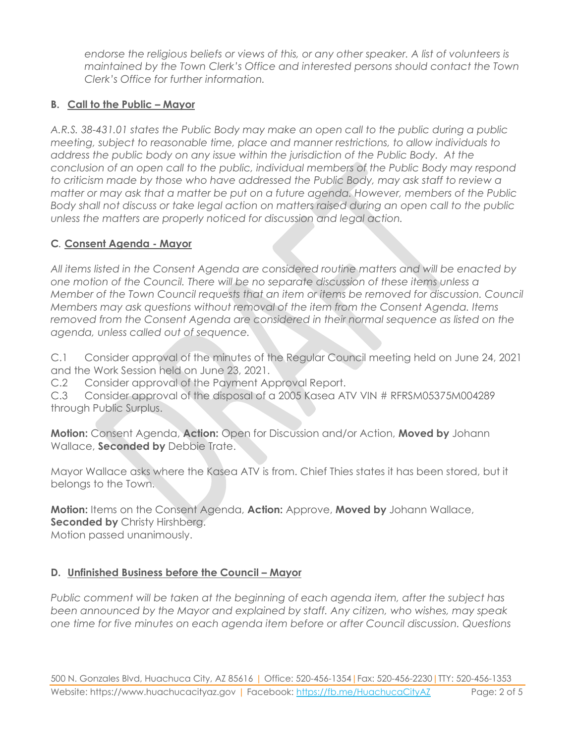*endorse the religious beliefs or views of this, or any other speaker. A list of volunteers is maintained by the Town Clerk's Office and interested persons should contact the Town Clerk's Office for further information.*

## **B. Call to the Public – Mayor**

*A.R.S. 38-431.01 states the Public Body may make an open call to the public during a public meeting, subject to reasonable time, place and manner restrictions, to allow individuals to address the public body on any issue within the jurisdiction of the Public Body. At the conclusion of an open call to the public, individual members of the Public Body may respond to criticism made by those who have addressed the Public Body, may ask staff to review a matter or may ask that a matter be put on a future agenda. However, members of the Public Body shall not discuss or take legal action on matters raised during an open call to the public unless the matters are properly noticed for discussion and legal action.*

## **C***.* **Consent Agenda - Mayor**

*All items listed in the Consent Agenda are considered routine matters and will be enacted by one motion of the Council. There will be no separate discussion of these items unless a Member of the Town Council requests that an item or items be removed for discussion. Council Members may ask questions without removal of the item from the Consent Agenda. Items removed from the Consent Agenda are considered in their normal sequence as listed on the agenda, unless called out of sequence.*

C.1 Consider approval of the minutes of the Regular Council meeting held on June 24, 2021 and the Work Session held on June 23, 2021.

C.2 Consider approval of the Payment Approval Report.

C.3 Consider approval of the disposal of a 2005 Kasea ATV VIN # RFRSM05375M004289 through Public Surplus.

**Motion:** Consent Agenda, **Action:** Open for Discussion and/or Action, **Moved by** Johann Wallace, **Seconded by** Debbie Trate.

Mayor Wallace asks where the Kasea ATV is from. Chief Thies states it has been stored, but it belongs to the Town.

**Motion:** Items on the Consent Agenda, **Action:** Approve, **Moved by** Johann Wallace, **Seconded by Christy Hirshberg.** 

Motion passed unanimously.

## **D.** Unfinished Business before the Council – Mayor

*Public comment will be taken at the beginning of each agenda item, after the subject has been announced by the Mayor and explained by staff. Any citizen, who wishes, may speak one time for five minutes on each agenda item before or after Council discussion. Questions*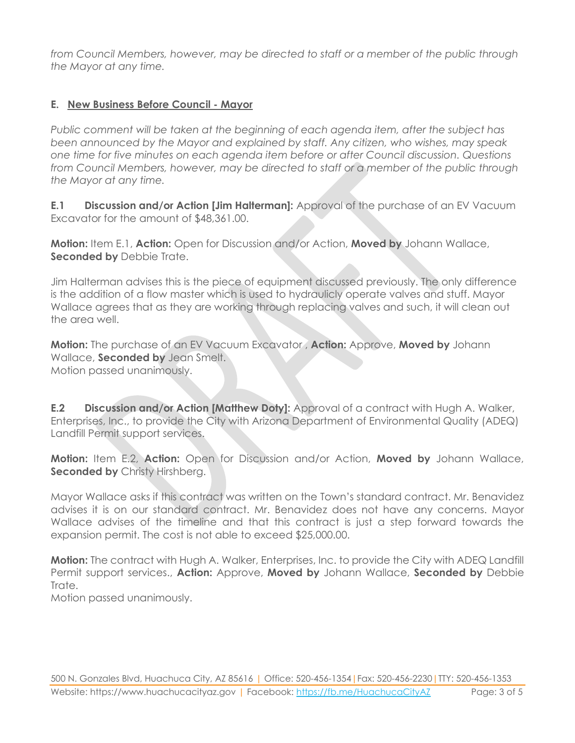*from Council Members, however, may be directed to staff or a member of the public through the Mayor at any time.*

#### **E. New Business Before Council - Mayor**

*Public comment will be taken at the beginning of each agenda item, after the subject has been announced by the Mayor and explained by staff. Any citizen, who wishes, may speak one time for five minutes on each agenda item before or after Council discussion. Questions from Council Members, however, may be directed to staff or a member of the public through the Mayor at any time.*

**E.1 Discussion and/or Action [Jim Halterman]:** Approval of the purchase of an EV Vacuum Excavator for the amount of \$48,361.00.

**Motion:** Item E.1, **Action:** Open for Discussion and/or Action, **Moved by** Johann Wallace, **Seconded by Debbie Trate.** 

Jim Halterman advises this is the piece of equipment discussed previously. The only difference is the addition of a flow master which is used to hydraulicly operate valves and stuff. Mayor Wallace agrees that as they are working through replacing valves and such, it will clean out the area well.

**Motion:** The purchase of an EV Vacuum Excavator , **Action:** Approve, **Moved by** Johann Wallace, **Seconded by** Jean Smelt. Motion passed unanimously.

**E.2 Discussion and/or Action [Matthew Doty]:** Approval of a contract with Hugh A. Walker, Enterprises, Inc., to provide the City with Arizona Department of Environmental Quality (ADEQ) Landfill Permit support services.

**Motion:** Item E.2, **Action:** Open for Discussion and/or Action, **Moved by** Johann Wallace, **Seconded by Christy Hirshberg.** 

Mayor Wallace asks if this contract was written on the Town's standard contract. Mr. Benavidez advises it is on our standard contract. Mr. Benavidez does not have any concerns. Mayor Wallace advises of the timeline and that this contract is just a step forward towards the expansion permit. The cost is not able to exceed \$25,000.00.

**Motion:** The contract with Hugh A. Walker, Enterprises, Inc. to provide the City with ADEQ Landfill Permit support services., **Action:** Approve, **Moved by** Johann Wallace, **Seconded by** Debbie Trate.

Motion passed unanimously.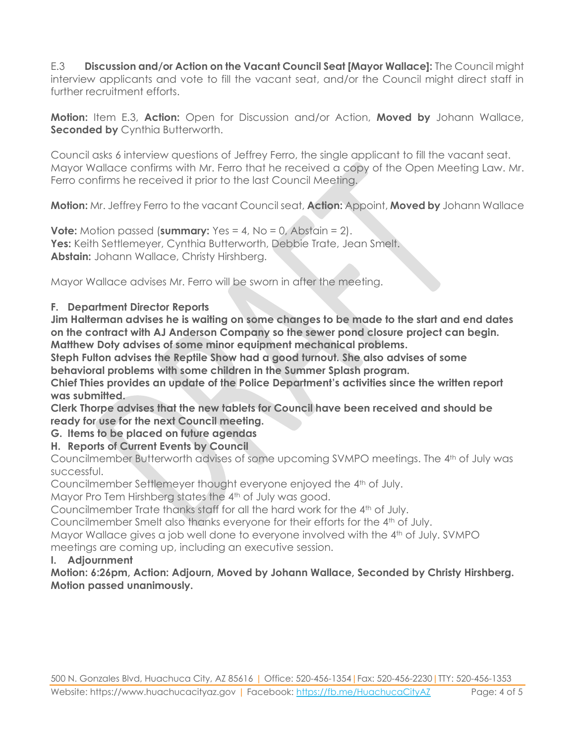E.3 **Discussion and/or Action on the Vacant Council Seat [Mayor Wallace]:** The Council might interview applicants and vote to fill the vacant seat, and/or the Council might direct staff in further recruitment efforts.

**Motion:** Item E.3, **Action:** Open for Discussion and/or Action, **Moved by** Johann Wallace, **Seconded by Cynthia Butterworth.** 

Council asks 6 interview questions of Jeffrey Ferro, the single applicant to fill the vacant seat. Mayor Wallace confirms with Mr. Ferro that he received a copy of the Open Meeting Law. Mr. Ferro confirms he received it prior to the last Council Meeting.

**Motion:** Mr. Jeffrey Ferro to the vacant Council seat, **Action:** Appoint, **Moved by** Johann Wallace

**Vote:** Motion passed (**summary:** Yes = 4, No = 0, Abstain = 2). **Yes:** Keith Settlemeyer, Cynthia Butterworth, Debbie Trate, Jean Smelt. **Abstain:** Johann Wallace, Christy Hirshberg.

Mayor Wallace advises Mr. Ferro will be sworn in after the meeting.

#### **F. Department Director Reports**

**Jim Halterman advises he is waiting on some changes to be made to the start and end dates on the contract with AJ Anderson Company so the sewer pond closure project can begin. Matthew Doty advises of some minor equipment mechanical problems.**

**Steph Fulton advises the Reptile Show had a good turnout. She also advises of some behavioral problems with some children in the Summer Splash program.**

**Chief Thies provides an update of the Police Department's activities since the written report was submitted.**

**Clerk Thorpe advises that the new tablets for Council have been received and should be ready for use for the next Council meeting.**

- **G. Items to be placed on future agendas**
- **H. Reports of Current Events by Council**

Councilmember Butterworth advises of some upcoming SVMPO meetings. The 4th of July was successful.

Councilmember Settlemeyer thought everyone enjoyed the 4th of July.

Mayor Pro Tem Hirshberg states the 4th of July was good.

Councilmember Trate thanks staff for all the hard work for the 4<sup>th</sup> of July.

Councilmember Smelt also thanks everyone for their efforts for the 4th of July.

Mayor Wallace gives a job well done to everyone involved with the 4th of July. SVMPO meetings are coming up, including an executive session.

#### **I. Adjournment**

**Motion: 6:26pm, Action: Adjourn, Moved by Johann Wallace, Seconded by Christy Hirshberg. Motion passed unanimously.**